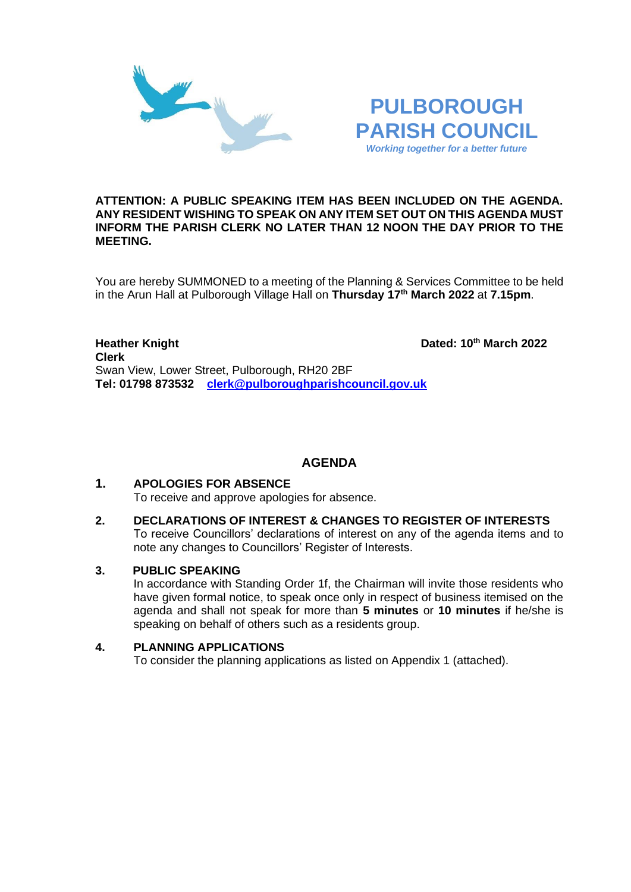



# **ATTENTION: A PUBLIC SPEAKING ITEM HAS BEEN INCLUDED ON THE AGENDA. ANY RESIDENT WISHING TO SPEAK ON ANY ITEM SET OUT ON THIS AGENDA MUST INFORM THE PARISH CLERK NO LATER THAN 12 NOON THE DAY PRIOR TO THE MEETING.**

You are hereby SUMMONED to a meeting of the Planning & Services Committee to be held in the Arun Hall at Pulborough Village Hall on **Thursday 17th March 2022** at **7.15pm**.

**Heather Knight Dated: 10<sup>th</sup> March 2022 Clerk**  Swan View, Lower Street, Pulborough, RH20 2BF **Tel: 01798 873532 [clerk@pulboroughparishcouncil.gov.uk](mailto:clerk@pulboroughparishcouncil.gov.uk)**

# **AGENDA**

## **1. APOLOGIES FOR ABSENCE** To receive and approve apologies for absence.

**2. DECLARATIONS OF INTEREST & CHANGES TO REGISTER OF INTERESTS** To receive Councillors' declarations of interest on any of the agenda items and to note any changes to Councillors' Register of Interests.

## **3. PUBLIC SPEAKING**

In accordance with Standing Order 1f, the Chairman will invite those residents who have given formal notice, to speak once only in respect of business itemised on the agenda and shall not speak for more than **5 minutes** or **10 minutes** if he/she is speaking on behalf of others such as a residents group.

# **4. PLANNING APPLICATIONS**

To consider the planning applications as listed on Appendix 1 (attached).